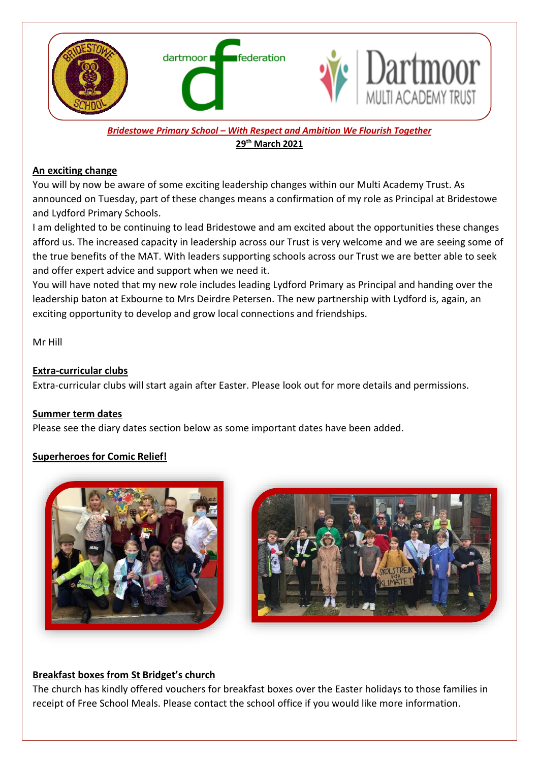

*Bridestowe Primary School – With Respect and Ambition We Flourish Together* **29 th March 2021**

#### **An exciting change**

You will by now be aware of some exciting leadership changes within our Multi Academy Trust. As announced on Tuesday, part of these changes means a confirmation of my role as Principal at Bridestowe and Lydford Primary Schools.

I am delighted to be continuing to lead Bridestowe and am excited about the opportunities these changes afford us. The increased capacity in leadership across our Trust is very welcome and we are seeing some of the true benefits of the MAT. With leaders supporting schools across our Trust we are better able to seek and offer expert advice and support when we need it.

You will have noted that my new role includes leading Lydford Primary as Principal and handing over the leadership baton at Exbourne to Mrs Deirdre Petersen. The new partnership with Lydford is, again, an exciting opportunity to develop and grow local connections and friendships.

Mr Hill

### **Extra-curricular clubs**

Extra-curricular clubs will start again after Easter. Please look out for more details and permissions.

### **Summer term dates**

Please see the diary dates section below as some important dates have been added.

# **Superheroes for Comic Relief!**





### **Breakfast boxes from St Bridget's church**

The church has kindly offered vouchers for breakfast boxes over the Easter holidays to those families in receipt of Free School Meals. Please contact the school office if you would like more information.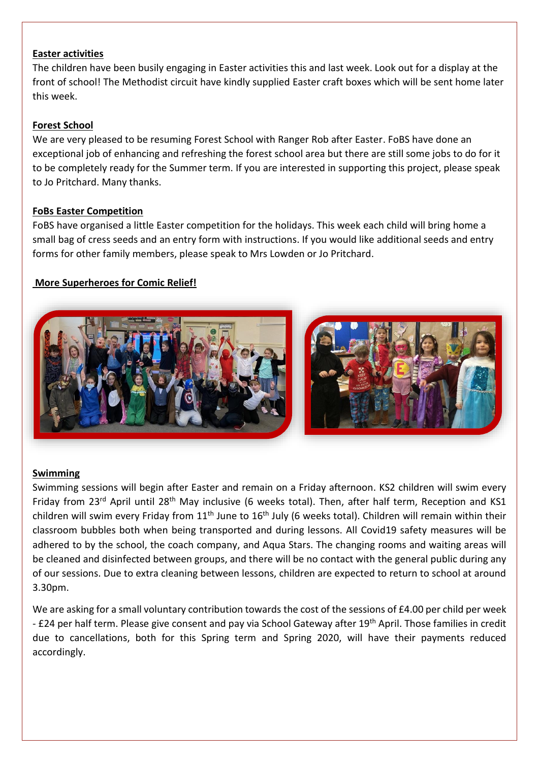### **Easter activities**

The children have been busily engaging in Easter activities this and last week. Look out for a display at the front of school! The Methodist circuit have kindly supplied Easter craft boxes which will be sent home later this week.

## **Forest School**

We are very pleased to be resuming Forest School with Ranger Rob after Easter. FoBS have done an exceptional job of enhancing and refreshing the forest school area but there are still some jobs to do for it to be completely ready for the Summer term. If you are interested in supporting this project, please speak to Jo Pritchard. Many thanks.

### **FoBs Easter Competition**

FoBS have organised a little Easter competition for the holidays. This week each child will bring home a small bag of cress seeds and an entry form with instructions. If you would like additional seeds and entry forms for other family members, please speak to Mrs Lowden or Jo Pritchard.

## **More Superheroes for Comic Relief!**



### **Swimming**

Swimming sessions will begin after Easter and remain on a Friday afternoon. KS2 children will swim every Friday from 23<sup>rd</sup> April until 28<sup>th</sup> May inclusive (6 weeks total). Then, after half term, Reception and KS1 children will swim every Friday from  $11<sup>th</sup>$  June to  $16<sup>th</sup>$  July (6 weeks total). Children will remain within their classroom bubbles both when being transported and during lessons. All Covid19 safety measures will be adhered to by the school, the coach company, and Aqua Stars. The changing rooms and waiting areas will be cleaned and disinfected between groups, and there will be no contact with the general public during any of our sessions. Due to extra cleaning between lessons, children are expected to return to school at around 3.30pm.

We are asking for a small voluntary contribution towards the cost of the sessions of £4.00 per child per week - £24 per half term. Please give consent and pay via School Gateway after 19<sup>th</sup> April. Those families in credit due to cancellations, both for this Spring term and Spring 2020, will have their payments reduced accordingly.